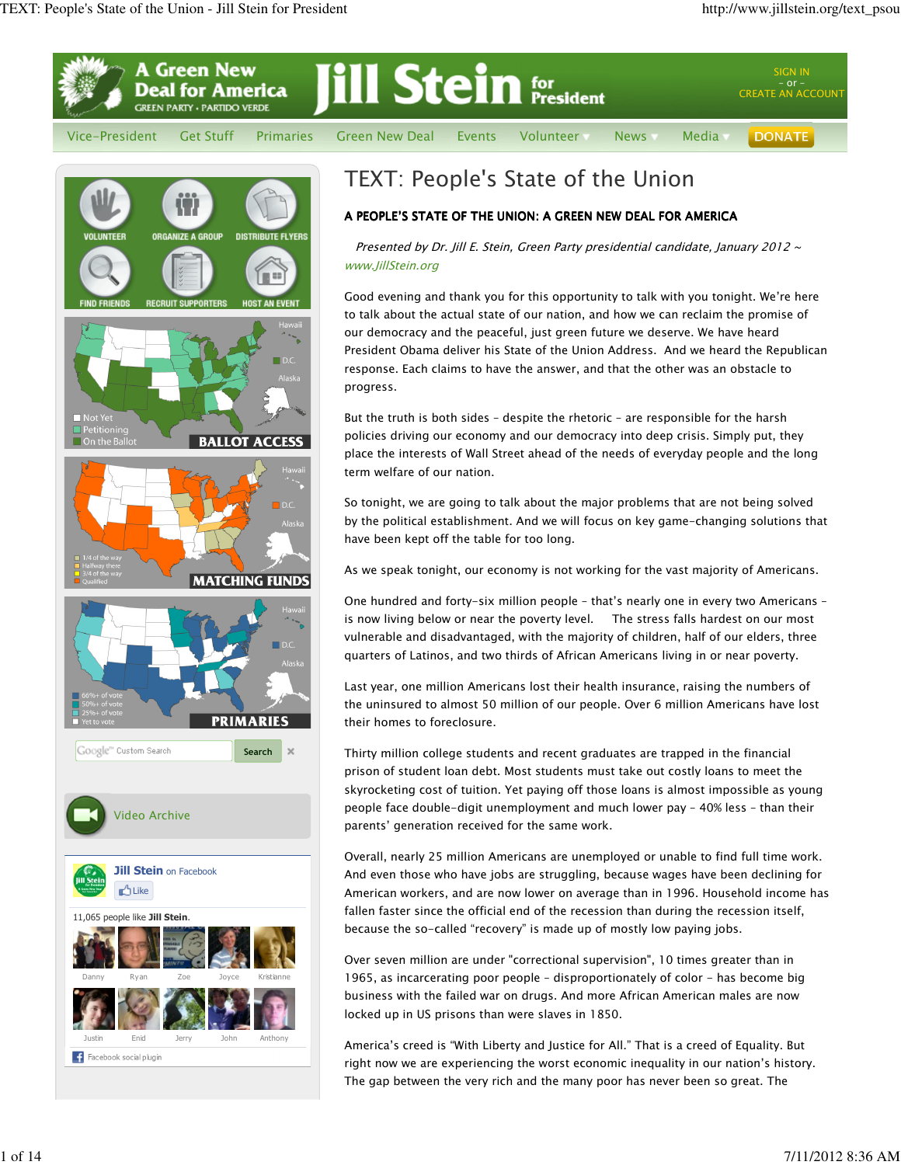Search

PRIMARIES

F

**BALLOT ACCESS** 

**MATCHING FUNDS** 

Video Archive

11,065 people like Jill Stein. **Like** 

Facebook social plugin

Google<sup>m</sup> Custom Search

**Jill Stein on Facebook** 

Danny Ryan Zoe Joyce Kristianne

Justin Enid Jerry John Anthony



Presented by Dr. Jill E. Stein, Green Party presidential candidate, January 2012  $\sim$ www.JillStein.org

Good evening and thank you for this opportunity to talk with you tonight. We're here to talk about the actual state of our nation, and how we can reclaim the promise of our democracy and the peaceful, just green future we deserve. We have heard President Obama deliver his State of the Union Address. And we heard the Republican response. Each claims to have the answer, and that the other was an obstacle to progress.

But the truth is both sides – despite the rhetoric – are responsible for the harsh policies driving our economy and our democracy into deep crisis. Simply put, they place the interests of Wall Street ahead of the needs of everyday people and the long term welfare of our nation.

So tonight, we are going to talk about the major problems that are not being solved by the political establishment. And we will focus on key game-changing solutions that have been kept off the table for too long.

As we speak tonight, our economy is not working for the vast majority of Americans.

One hundred and forty-six million people – that's nearly one in every two Americans – is now living below or near the poverty level. The stress falls hardest on our most vulnerable and disadvantaged, with the majority of children, half of our elders, three quarters of Latinos, and two thirds of African Americans living in or near poverty.

Last year, one million Americans lost their health insurance, raising the numbers of the uninsured to almost 50 million of our people. Over 6 million Americans have lost their homes to foreclosure.

Thirty million college students and recent graduates are trapped in the financial prison of student loan debt. Most students must take out costly loans to meet the skyrocketing cost of tuition. Yet paying off those loans is almost impossible as young people face double-digit unemployment and much lower pay – 40% less – than their parents' generation received for the same work.

Overall, nearly 25 million Americans are unemployed or unable to find full time work. And even those who have jobs are struggling, because wages have been declining for American workers, and are now lower on average than in 1996. Household income has fallen faster since the official end of the recession than during the recession itself, because the so-called "recovery" is made up of mostly low paying jobs.

Over seven million are under "correctional supervision", 10 times greater than in 1965, as incarcerating poor people – disproportionately of color - has become big business with the failed war on drugs. And more African American males are now locked up in US prisons than were slaves in 1850.

America's creed is "With Liberty and Justice for All." That is a creed of Equality. But right now we are experiencing the worst economic inequality in our nation's history. The gap between the very rich and the many poor has never been so great. The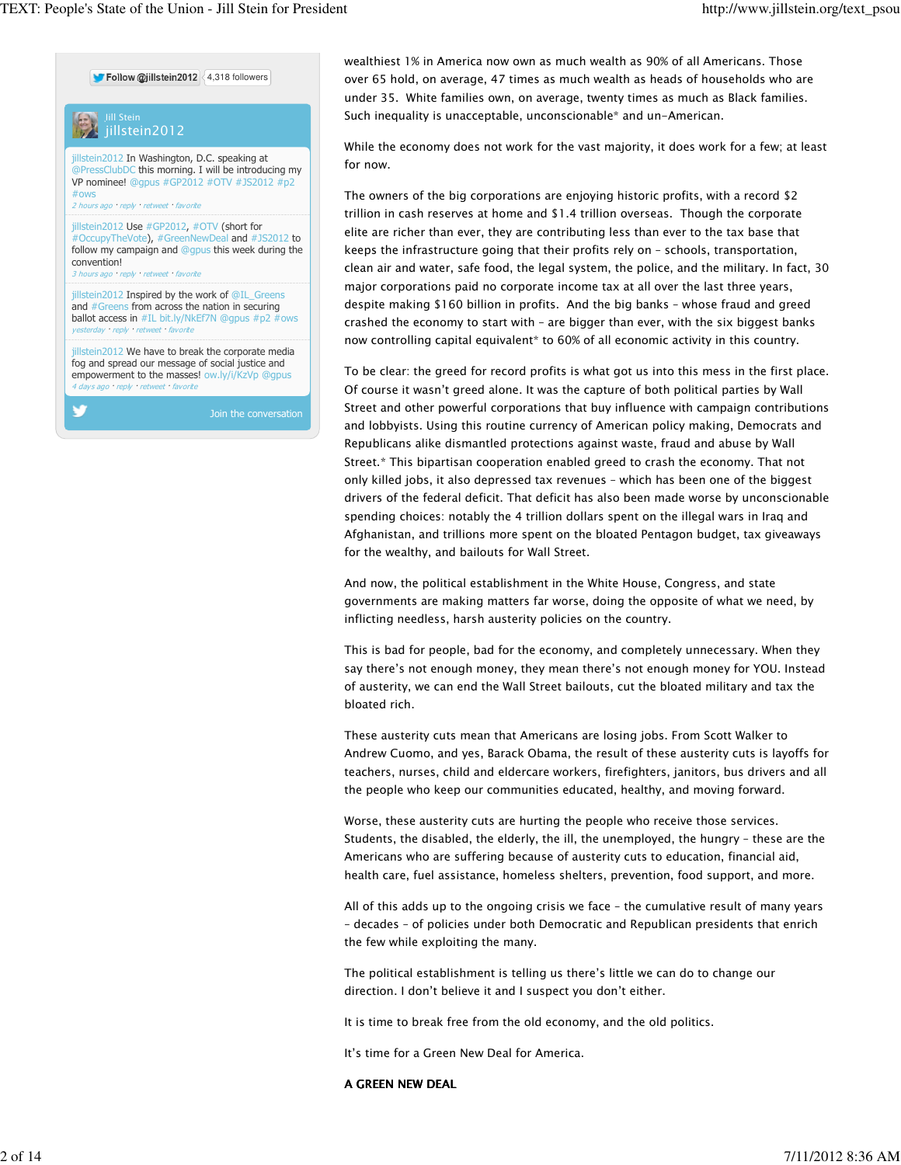**Follow @jillstein2012** 4.318 followers



wealthiest 1% in America now own as much wealth as 90% of all Americans. Those over 65 hold, on average, 47 times as much wealth as heads of households who are under 35. White families own, on average, twenty times as much as Black families. Such inequality is unacceptable, unconscionable\* and un-American.

While the economy does not work for the vast majority, it does work for a few; at least for now.

The owners of the big corporations are enjoying historic profits, with a record \$2 trillion in cash reserves at home and \$1.4 trillion overseas. Though the corporate elite are richer than ever, they are contributing less than ever to the tax base that keeps the infrastructure going that their profits rely on – schools, transportation, clean air and water, safe food, the legal system, the police, and the military. In fact, 30 major corporations paid no corporate income tax at all over the last three years, despite making \$160 billion in profits. And the big banks – whose fraud and greed crashed the economy to start with – are bigger than ever, with the six biggest banks now controlling capital equivalent\* to 60% of all economic activity in this country.

To be clear: the greed for record profits is what got us into this mess in the first place. Of course it wasn't greed alone. It was the capture of both political parties by Wall Street and other powerful corporations that buy influence with campaign contributions and lobbyists. Using this routine currency of American policy making, Democrats and Republicans alike dismantled protections against waste, fraud and abuse by Wall Street.\* This bipartisan cooperation enabled greed to crash the economy. That not only killed jobs, it also depressed tax revenues – which has been one of the biggest drivers of the federal deficit. That deficit has also been made worse by unconscionable spending choices: notably the 4 trillion dollars spent on the illegal wars in Iraq and Afghanistan, and trillions more spent on the bloated Pentagon budget, tax giveaways for the wealthy, and bailouts for Wall Street.

And now, the political establishment in the White House, Congress, and state governments are making matters far worse, doing the opposite of what we need, by inflicting needless, harsh austerity policies on the country.

This is bad for people, bad for the economy, and completely unnecessary. When they say there's not enough money, they mean there's not enough money for YOU. Instead of austerity, we can end the Wall Street bailouts, cut the bloated military and tax the bloated rich.

These austerity cuts mean that Americans are losing jobs. From Scott Walker to Andrew Cuomo, and yes, Barack Obama, the result of these austerity cuts is layoffs for teachers, nurses, child and eldercare workers, firefighters, janitors, bus drivers and all the people who keep our communities educated, healthy, and moving forward.

Worse, these austerity cuts are hurting the people who receive those services. Students, the disabled, the elderly, the ill, the unemployed, the hungry – these are the Americans who are suffering because of austerity cuts to education, financial aid, health care, fuel assistance, homeless shelters, prevention, food support, and more.

All of this adds up to the ongoing crisis we face – the cumulative result of many years – decades – of policies under both Democratic and Republican presidents that enrich the few while exploiting the many.

The political establishment is telling us there's little we can do to change our direction. I don't believe it and I suspect you don't either.

It is time to break free from the old economy, and the old politics.

It's time for a Green New Deal for America.

## A GREEN NEW DEAL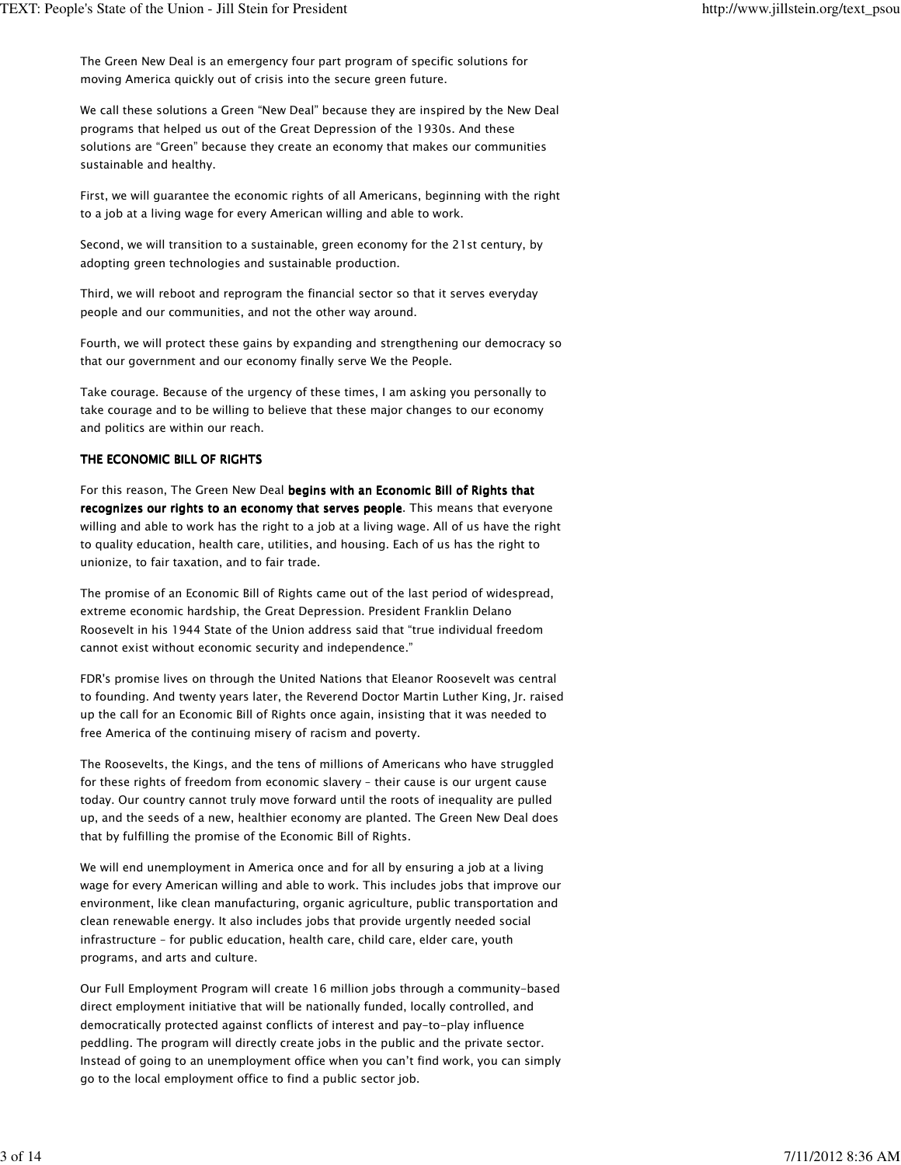The Green New Deal is an emergency four part program of specific solutions for moving America quickly out of crisis into the secure green future.

We call these solutions a Green "New Deal" because they are inspired by the New Deal programs that helped us out of the Great Depression of the 1930s. And these solutions are "Green" because they create an economy that makes our communities sustainable and healthy.

First, we will guarantee the economic rights of all Americans, beginning with the right to a job at a living wage for every American willing and able to work.

Second, we will transition to a sustainable, green economy for the 21st century, by adopting green technologies and sustainable production.

Third, we will reboot and reprogram the financial sector so that it serves everyday people and our communities, and not the other way around.

Fourth, we will protect these gains by expanding and strengthening our democracy so that our government and our economy finally serve We the People.

Take courage. Because of the urgency of these times, I am asking you personally to take courage and to be willing to believe that these major changes to our economy and politics are within our reach.

## THE ECONOMIC BILL OF RIGHTS

For this reason, The Green New Deal begins with an Economic Bill of Rights that recognizes our rights to an economy that serves people. This means that everyone willing and able to work has the right to a job at a living wage. All of us have the right to quality education, health care, utilities, and housing. Each of us has the right to unionize, to fair taxation, and to fair trade.

The promise of an Economic Bill of Rights came out of the last period of widespread, extreme economic hardship, the Great Depression. President Franklin Delano Roosevelt in his 1944 State of the Union address said that "true individual freedom cannot exist without economic security and independence."

FDR's promise lives on through the United Nations that Eleanor Roosevelt was central to founding. And twenty years later, the Reverend Doctor Martin Luther King, Jr. raised up the call for an Economic Bill of Rights once again, insisting that it was needed to free America of the continuing misery of racism and poverty.

The Roosevelts, the Kings, and the tens of millions of Americans who have struggled for these rights of freedom from economic slavery – their cause is our urgent cause today. Our country cannot truly move forward until the roots of inequality are pulled up, and the seeds of a new, healthier economy are planted. The Green New Deal does that by fulfilling the promise of the Economic Bill of Rights.

We will end unemployment in America once and for all by ensuring a job at a living wage for every American willing and able to work. This includes jobs that improve our environment, like clean manufacturing, organic agriculture, public transportation and clean renewable energy. It also includes jobs that provide urgently needed social infrastructure – for public education, health care, child care, elder care, youth programs, and arts and culture.

Our Full Employment Program will create 16 million jobs through a community-based direct employment initiative that will be nationally funded, locally controlled, and democratically protected against conflicts of interest and pay-to-play influence peddling. The program will directly create jobs in the public and the private sector. Instead of going to an unemployment office when you can't find work, you can simply go to the local employment office to find a public sector job.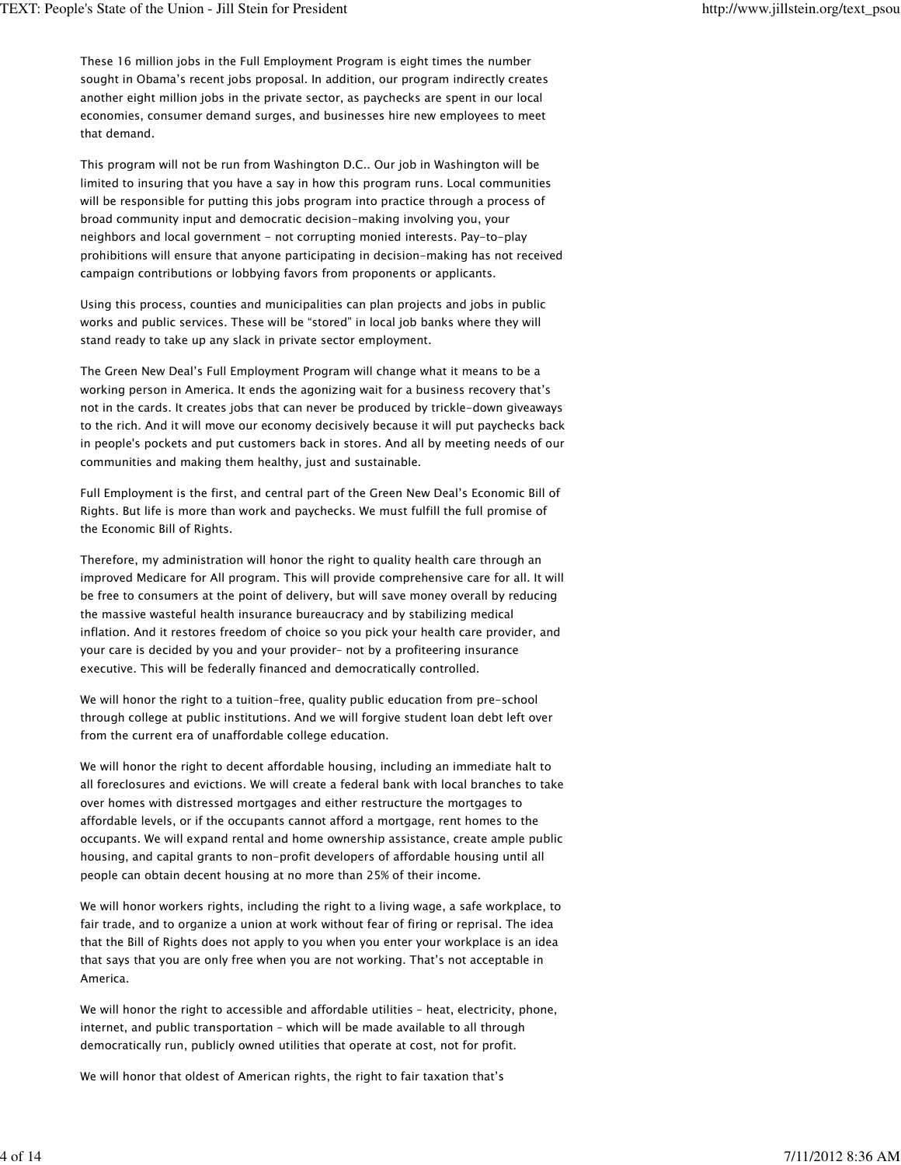These 16 million jobs in the Full Employment Program is eight times the number sought in Obama's recent jobs proposal. In addition, our program indirectly creates another eight million jobs in the private sector, as paychecks are spent in our local economies, consumer demand surges, and businesses hire new employees to meet that demand.

This program will not be run from Washington D.C.. Our job in Washington will be limited to insuring that you have a say in how this program runs. Local communities will be responsible for putting this jobs program into practice through a process of broad community input and democratic decision-making involving you, your neighbors and local government - not corrupting monied interests. Pay-to-play prohibitions will ensure that anyone participating in decision-making has not received campaign contributions or lobbying favors from proponents or applicants.

Using this process, counties and municipalities can plan projects and jobs in public works and public services. These will be "stored" in local job banks where they will stand ready to take up any slack in private sector employment.

The Green New Deal's Full Employment Program will change what it means to be a working person in America. It ends the agonizing wait for a business recovery that's not in the cards. It creates jobs that can never be produced by trickle-down giveaways to the rich. And it will move our economy decisively because it will put paychecks back in people's pockets and put customers back in stores. And all by meeting needs of our communities and making them healthy, just and sustainable.

Full Employment is the first, and central part of the Green New Deal's Economic Bill of Rights. But life is more than work and paychecks. We must fulfill the full promise of the Economic Bill of Rights.

Therefore, my administration will honor the right to quality health care through an improved Medicare for All program. This will provide comprehensive care for all. It will be free to consumers at the point of delivery, but will save money overall by reducing the massive wasteful health insurance bureaucracy and by stabilizing medical inflation. And it restores freedom of choice so you pick your health care provider, and your care is decided by you and your provider– not by a profiteering insurance executive. This will be federally financed and democratically controlled.

We will honor the right to a tuition-free, quality public education from pre-school through college at public institutions. And we will forgive student loan debt left over from the current era of unaffordable college education.

We will honor the right to decent affordable housing, including an immediate halt to all foreclosures and evictions. We will create a federal bank with local branches to take over homes with distressed mortgages and either restructure the mortgages to affordable levels, or if the occupants cannot afford a mortgage, rent homes to the occupants. We will expand rental and home ownership assistance, create ample public housing, and capital grants to non-profit developers of affordable housing until all people can obtain decent housing at no more than 25% of their income.

We will honor workers rights, including the right to a living wage, a safe workplace, to fair trade, and to organize a union at work without fear of firing or reprisal. The idea that the Bill of Rights does not apply to you when you enter your workplace is an idea that says that you are only free when you are not working. That's not acceptable in America.

We will honor the right to accessible and affordable utilities – heat, electricity, phone, internet, and public transportation – which will be made available to all through democratically run, publicly owned utilities that operate at cost, not for profit.

We will honor that oldest of American rights, the right to fair taxation that's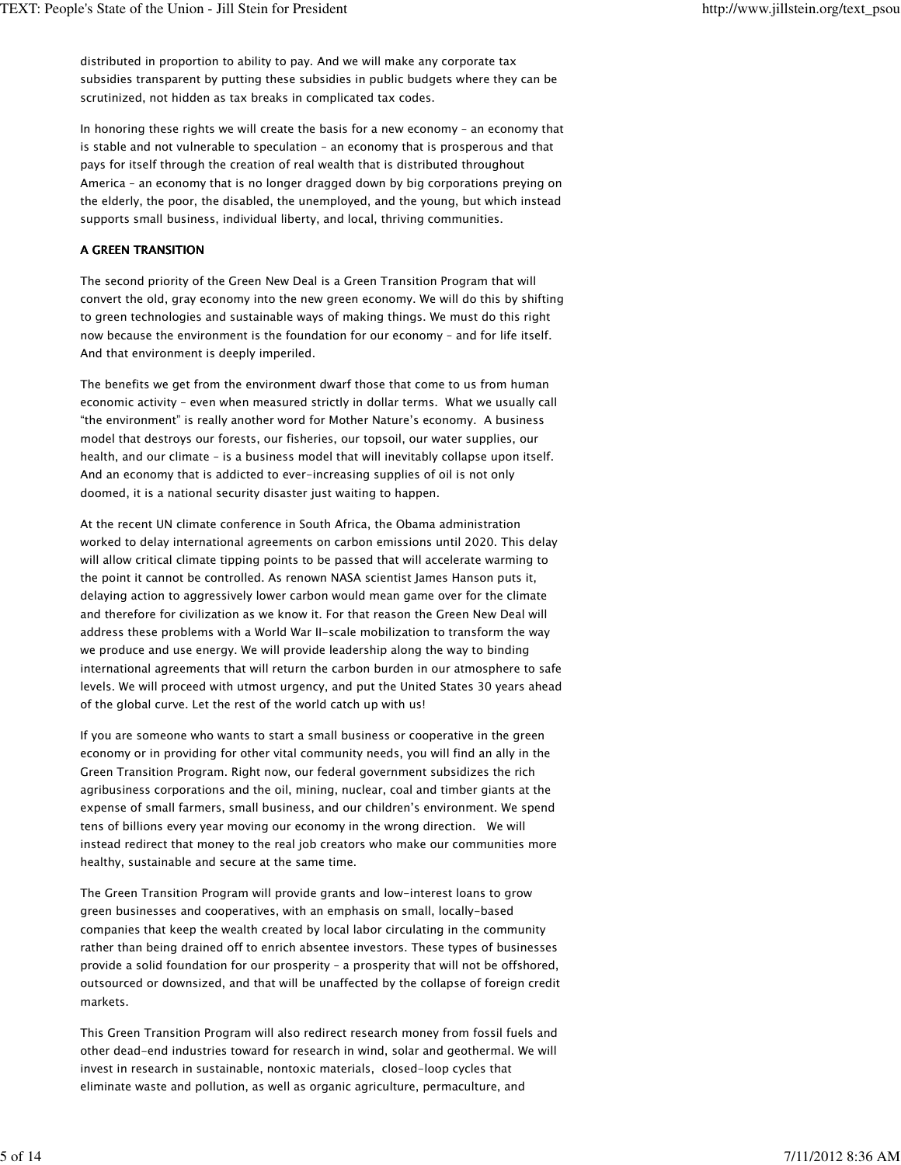distributed in proportion to ability to pay. And we will make any corporate tax subsidies transparent by putting these subsidies in public budgets where they can be scrutinized, not hidden as tax breaks in complicated tax codes.

In honoring these rights we will create the basis for a new economy – an economy that is stable and not vulnerable to speculation – an economy that is prosperous and that pays for itself through the creation of real wealth that is distributed throughout America – an economy that is no longer dragged down by big corporations preying on the elderly, the poor, the disabled, the unemployed, and the young, but which instead supports small business, individual liberty, and local, thriving communities.

#### A GREEN TRANSITION

The second priority of the Green New Deal is a Green Transition Program that will convert the old, gray economy into the new green economy. We will do this by shifting to green technologies and sustainable ways of making things. We must do this right now because the environment is the foundation for our economy – and for life itself. And that environment is deeply imperiled.

The benefits we get from the environment dwarf those that come to us from human economic activity – even when measured strictly in dollar terms. What we usually call "the environment" is really another word for Mother Nature's economy. A business model that destroys our forests, our fisheries, our topsoil, our water supplies, our health, and our climate – is a business model that will inevitably collapse upon itself. And an economy that is addicted to ever-increasing supplies of oil is not only doomed, it is a national security disaster just waiting to happen.

At the recent UN climate conference in South Africa, the Obama administration worked to delay international agreements on carbon emissions until 2020. This delay will allow critical climate tipping points to be passed that will accelerate warming to the point it cannot be controlled. As renown NASA scientist James Hanson puts it, delaying action to aggressively lower carbon would mean game over for the climate and therefore for civilization as we know it. For that reason the Green New Deal will address these problems with a World War II-scale mobilization to transform the way we produce and use energy. We will provide leadership along the way to binding international agreements that will return the carbon burden in our atmosphere to safe levels. We will proceed with utmost urgency, and put the United States 30 years ahead of the global curve. Let the rest of the world catch up with us!

If you are someone who wants to start a small business or cooperative in the green economy or in providing for other vital community needs, you will find an ally in the Green Transition Program. Right now, our federal government subsidizes the rich agribusiness corporations and the oil, mining, nuclear, coal and timber giants at the expense of small farmers, small business, and our children's environment. We spend tens of billions every year moving our economy in the wrong direction. We will instead redirect that money to the real job creators who make our communities more healthy, sustainable and secure at the same time.

The Green Transition Program will provide grants and low-interest loans to grow green businesses and cooperatives, with an emphasis on small, locally-based companies that keep the wealth created by local labor circulating in the community rather than being drained off to enrich absentee investors. These types of businesses provide a solid foundation for our prosperity – a prosperity that will not be offshored, outsourced or downsized, and that will be unaffected by the collapse of foreign credit markets.

This Green Transition Program will also redirect research money from fossil fuels and other dead-end industries toward for research in wind, solar and geothermal. We will invest in research in sustainable, nontoxic materials, closed-loop cycles that eliminate waste and pollution, as well as organic agriculture, permaculture, and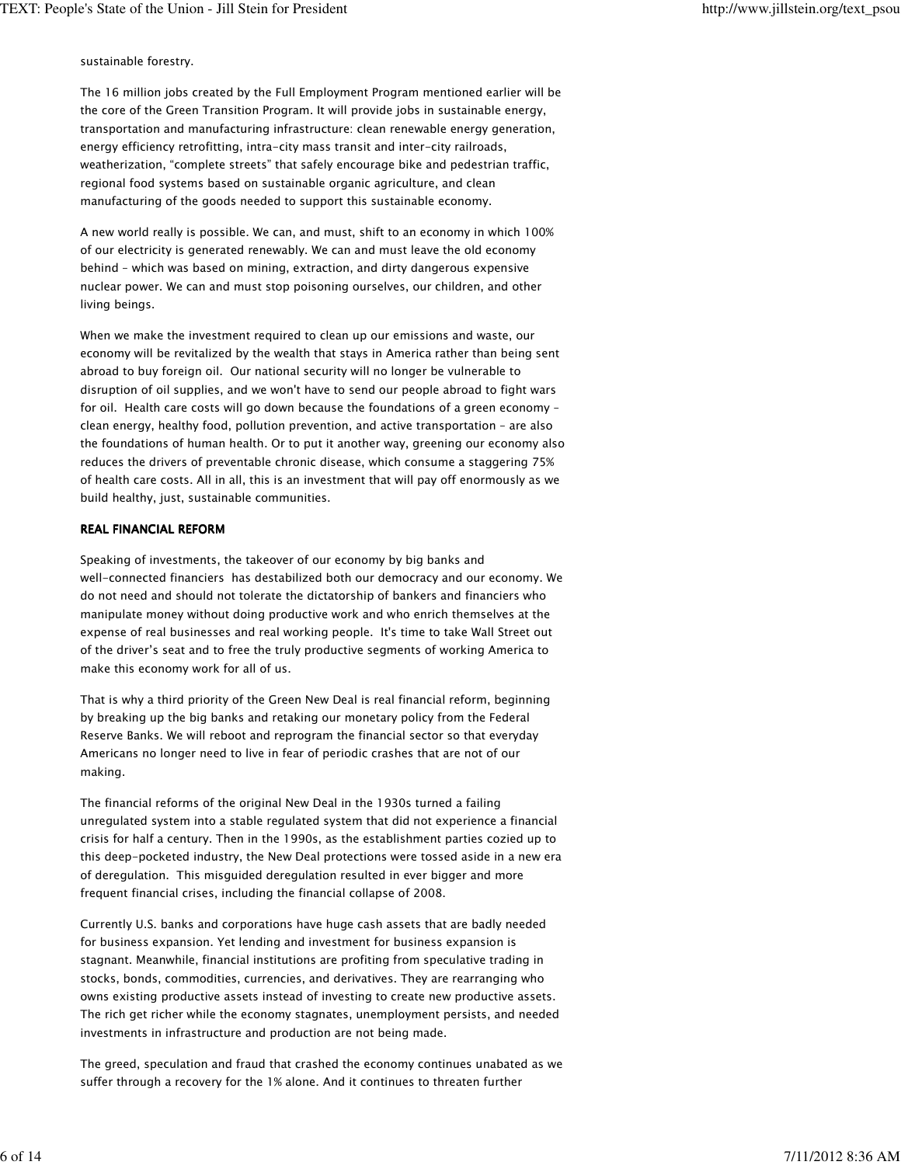sustainable forestry.

The 16 million jobs created by the Full Employment Program mentioned earlier will be the core of the Green Transition Program. It will provide jobs in sustainable energy, transportation and manufacturing infrastructure: clean renewable energy generation, energy efficiency retrofitting, intra-city mass transit and inter-city railroads, weatherization, "complete streets" that safely encourage bike and pedestrian traffic, regional food systems based on sustainable organic agriculture, and clean manufacturing of the goods needed to support this sustainable economy.

A new world really is possible. We can, and must, shift to an economy in which 100% of our electricity is generated renewably. We can and must leave the old economy behind – which was based on mining, extraction, and dirty dangerous expensive nuclear power. We can and must stop poisoning ourselves, our children, and other living beings.

When we make the investment required to clean up our emissions and waste, our economy will be revitalized by the wealth that stays in America rather than being sent abroad to buy foreign oil. Our national security will no longer be vulnerable to disruption of oil supplies, and we won't have to send our people abroad to fight wars for oil. Health care costs will go down because the foundations of a green economy – clean energy, healthy food, pollution prevention, and active transportation – are also the foundations of human health. Or to put it another way, greening our economy also reduces the drivers of preventable chronic disease, which consume a staggering 75% of health care costs. All in all, this is an investment that will pay off enormously as we build healthy, just, sustainable communities.

## REAL FINANCIAL REFORM

Speaking of investments, the takeover of our economy by big banks and well-connected financiers has destabilized both our democracy and our economy. We do not need and should not tolerate the dictatorship of bankers and financiers who manipulate money without doing productive work and who enrich themselves at the expense of real businesses and real working people. It's time to take Wall Street out of the driver's seat and to free the truly productive segments of working America to make this economy work for all of us.

That is why a third priority of the Green New Deal is real financial reform, beginning by breaking up the big banks and retaking our monetary policy from the Federal Reserve Banks. We will reboot and reprogram the financial sector so that everyday Americans no longer need to live in fear of periodic crashes that are not of our making.

The financial reforms of the original New Deal in the 1930s turned a failing unregulated system into a stable regulated system that did not experience a financial crisis for half a century. Then in the 1990s, as the establishment parties cozied up to this deep-pocketed industry, the New Deal protections were tossed aside in a new era of deregulation. This misguided deregulation resulted in ever bigger and more frequent financial crises, including the financial collapse of 2008.

Currently U.S. banks and corporations have huge cash assets that are badly needed for business expansion. Yet lending and investment for business expansion is stagnant. Meanwhile, financial institutions are profiting from speculative trading in stocks, bonds, commodities, currencies, and derivatives. They are rearranging who owns existing productive assets instead of investing to create new productive assets. The rich get richer while the economy stagnates, unemployment persists, and needed investments in infrastructure and production are not being made.

The greed, speculation and fraud that crashed the economy continues unabated as we suffer through a recovery for the 1% alone. And it continues to threaten further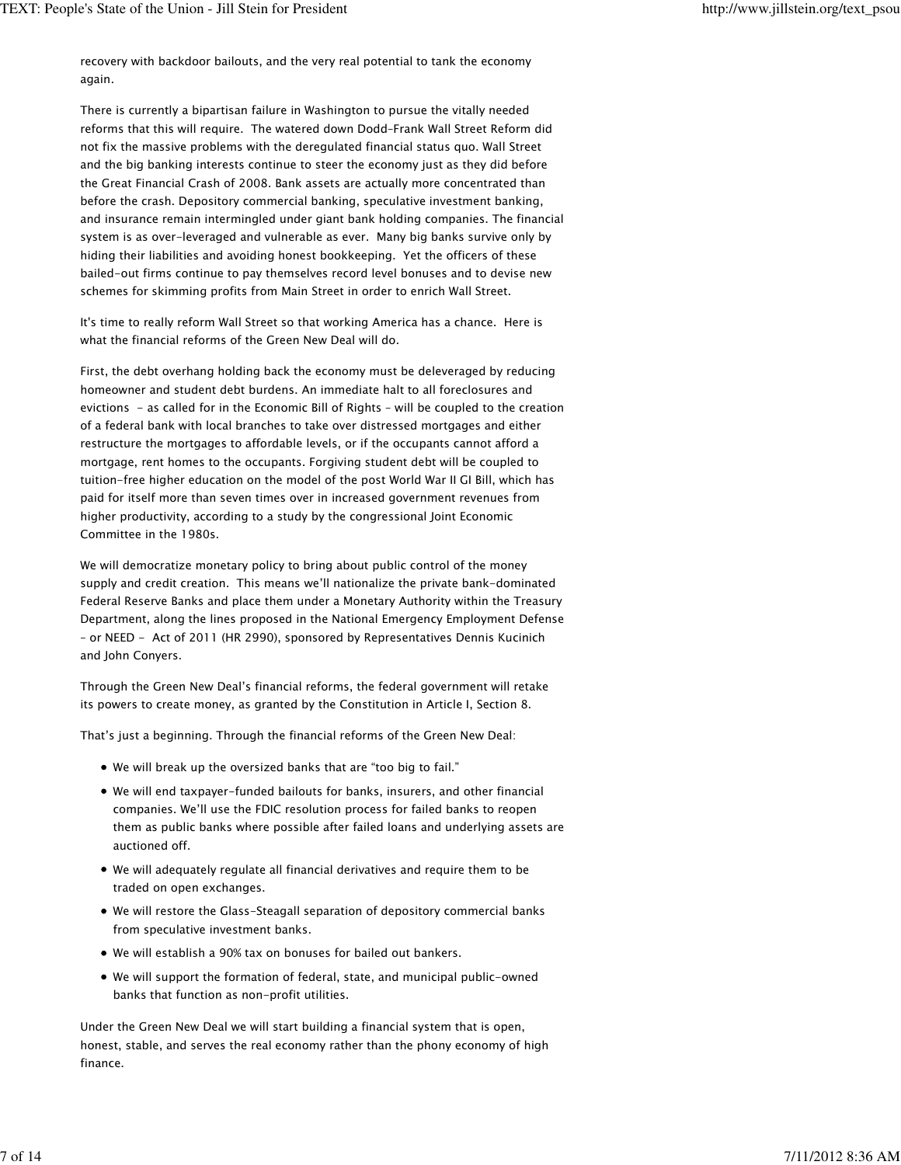recovery with backdoor bailouts, and the very real potential to tank the economy again.

There is currently a bipartisan failure in Washington to pursue the vitally needed reforms that this will require. The watered down Dodd–Frank Wall Street Reform did not fix the massive problems with the deregulated financial status quo. Wall Street and the big banking interests continue to steer the economy just as they did before the Great Financial Crash of 2008. Bank assets are actually more concentrated than before the crash. Depository commercial banking, speculative investment banking, and insurance remain intermingled under giant bank holding companies. The financial system is as over-leveraged and vulnerable as ever. Many big banks survive only by hiding their liabilities and avoiding honest bookkeeping. Yet the officers of these bailed-out firms continue to pay themselves record level bonuses and to devise new schemes for skimming profits from Main Street in order to enrich Wall Street.

It's time to really reform Wall Street so that working America has a chance. Here is what the financial reforms of the Green New Deal will do.

First, the debt overhang holding back the economy must be deleveraged by reducing homeowner and student debt burdens. An immediate halt to all foreclosures and evictions - as called for in the Economic Bill of Rights – will be coupled to the creation of a federal bank with local branches to take over distressed mortgages and either restructure the mortgages to affordable levels, or if the occupants cannot afford a mortgage, rent homes to the occupants. Forgiving student debt will be coupled to tuition-free higher education on the model of the post World War II GI Bill, which has paid for itself more than seven times over in increased government revenues from higher productivity, according to a study by the congressional Joint Economic Committee in the 1980s.

We will democratize monetary policy to bring about public control of the money supply and credit creation. This means we'll nationalize the private bank-dominated Federal Reserve Banks and place them under a Monetary Authority within the Treasury Department, along the lines proposed in the National Emergency Employment Defense – or NEED - Act of 2011 (HR 2990), sponsored by Representatives Dennis Kucinich and John Conyers.

Through the Green New Deal's financial reforms, the federal government will retake its powers to create money, as granted by the Constitution in Article I, Section 8.

That's just a beginning. Through the financial reforms of the Green New Deal:

- We will break up the oversized banks that are "too big to fail."
- We will end taxpayer-funded bailouts for banks, insurers, and other financial companies. We'll use the FDIC resolution process for failed banks to reopen them as public banks where possible after failed loans and underlying assets are auctioned off.
- We will adequately regulate all financial derivatives and require them to be traded on open exchanges.
- We will restore the Glass-Steagall separation of depository commercial banks from speculative investment banks.
- We will establish a 90% tax on bonuses for bailed out bankers.
- We will support the formation of federal, state, and municipal public-owned banks that function as non-profit utilities.

Under the Green New Deal we will start building a financial system that is open, honest, stable, and serves the real economy rather than the phony economy of high finance.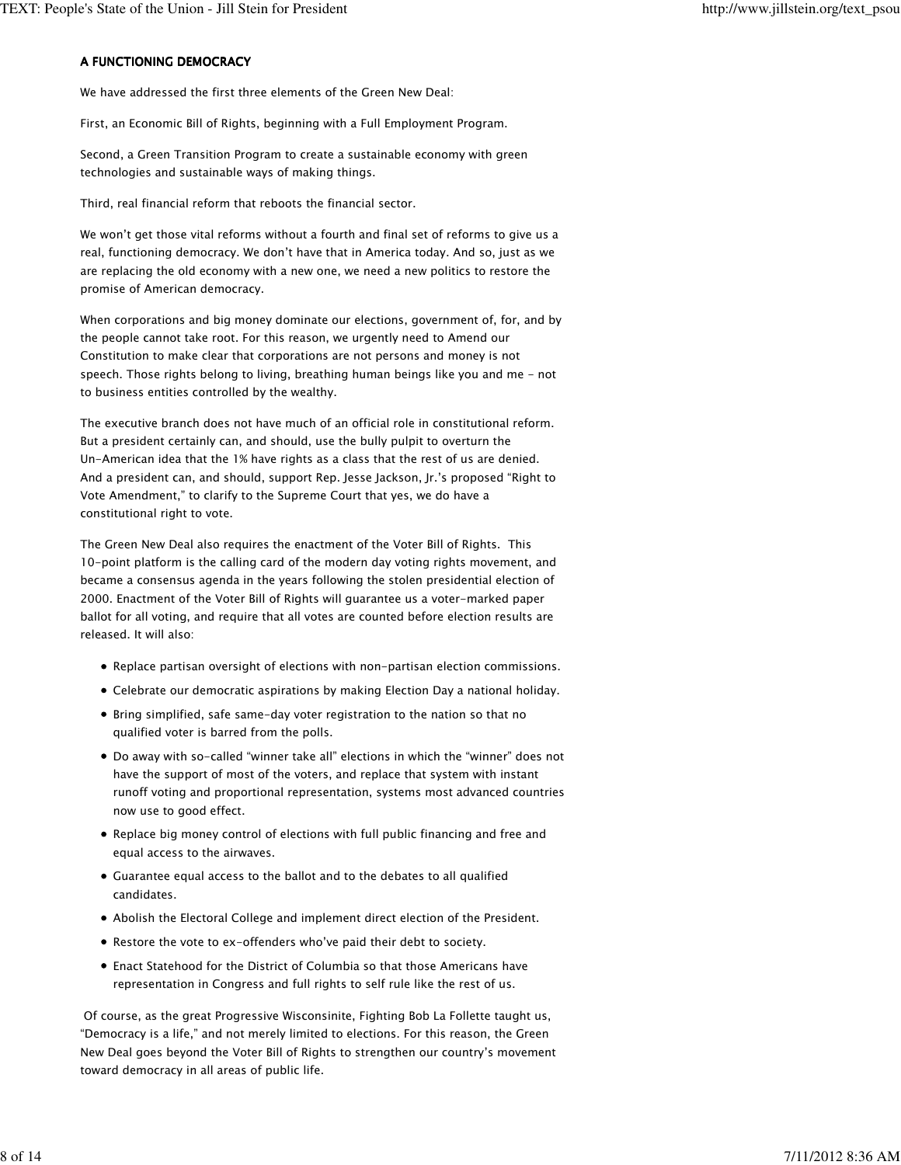## A FUNCTIONING DEMOCRACY

We have addressed the first three elements of the Green New Deal:

First, an Economic Bill of Rights, beginning with a Full Employment Program.

Second, a Green Transition Program to create a sustainable economy with green technologies and sustainable ways of making things.

Third, real financial reform that reboots the financial sector.

We won't get those vital reforms without a fourth and final set of reforms to give us a real, functioning democracy. We don't have that in America today. And so, just as we are replacing the old economy with a new one, we need a new politics to restore the promise of American democracy.

When corporations and big money dominate our elections, government of, for, and by the people cannot take root. For this reason, we urgently need to Amend our Constitution to make clear that corporations are not persons and money is not speech. Those rights belong to living, breathing human beings like you and me - not to business entities controlled by the wealthy.

The executive branch does not have much of an official role in constitutional reform. But a president certainly can, and should, use the bully pulpit to overturn the Un-American idea that the 1% have rights as a class that the rest of us are denied. And a president can, and should, support Rep. Jesse Jackson, Jr.'s proposed "Right to Vote Amendment," to clarify to the Supreme Court that yes, we do have a constitutional right to vote.

The Green New Deal also requires the enactment of the Voter Bill of Rights. This 10-point platform is the calling card of the modern day voting rights movement, and became a consensus agenda in the years following the stolen presidential election of 2000. Enactment of the Voter Bill of Rights will guarantee us a voter-marked paper ballot for all voting, and require that all votes are counted before election results are released. It will also:

- Replace partisan oversight of elections with non-partisan election commissions.
- Celebrate our democratic aspirations by making Election Day a national holiday.
- Bring simplified, safe same-day voter registration to the nation so that no qualified voter is barred from the polls.
- Do away with so-called "winner take all" elections in which the "winner" does not have the support of most of the voters, and replace that system with instant runoff voting and proportional representation, systems most advanced countries now use to good effect.
- Replace big money control of elections with full public financing and free and equal access to the airwaves.
- Guarantee equal access to the ballot and to the debates to all qualified candidates.
- Abolish the Electoral College and implement direct election of the President.
- Restore the vote to ex-offenders who've paid their debt to society.
- Enact Statehood for the District of Columbia so that those Americans have representation in Congress and full rights to self rule like the rest of us.

 Of course, as the great Progressive Wisconsinite, Fighting Bob La Follette taught us, "Democracy is a life," and not merely limited to elections. For this reason, the Green New Deal goes beyond the Voter Bill of Rights to strengthen our country's movement toward democracy in all areas of public life.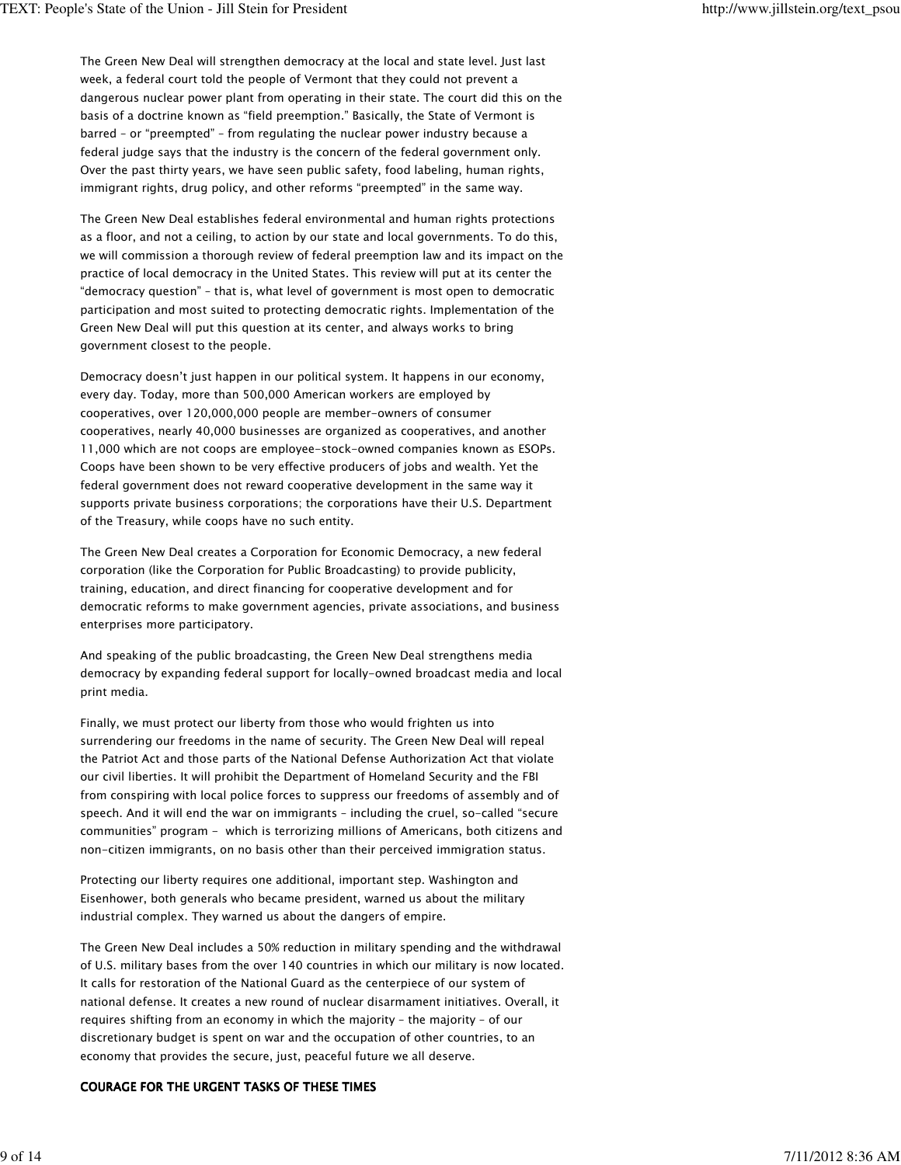The Green New Deal will strengthen democracy at the local and state level. Just last week, a federal court told the people of Vermont that they could not prevent a dangerous nuclear power plant from operating in their state. The court did this on the basis of a doctrine known as "field preemption." Basically, the State of Vermont is barred – or "preempted" – from regulating the nuclear power industry because a federal judge says that the industry is the concern of the federal government only. Over the past thirty years, we have seen public safety, food labeling, human rights, immigrant rights, drug policy, and other reforms "preempted" in the same way.

The Green New Deal establishes federal environmental and human rights protections as a floor, and not a ceiling, to action by our state and local governments. To do this, we will commission a thorough review of federal preemption law and its impact on the practice of local democracy in the United States. This review will put at its center the "democracy question" – that is, what level of government is most open to democratic participation and most suited to protecting democratic rights. Implementation of the Green New Deal will put this question at its center, and always works to bring government closest to the people.

Democracy doesn't just happen in our political system. It happens in our economy, every day. Today, more than 500,000 American workers are employed by cooperatives, over 120,000,000 people are member-owners of consumer cooperatives, nearly 40,000 businesses are organized as cooperatives, and another 11,000 which are not coops are employee-stock-owned companies known as ESOPs. Coops have been shown to be very effective producers of jobs and wealth. Yet the federal government does not reward cooperative development in the same way it supports private business corporations; the corporations have their U.S. Department of the Treasury, while coops have no such entity.

The Green New Deal creates a Corporation for Economic Democracy, a new federal corporation (like the Corporation for Public Broadcasting) to provide publicity, training, education, and direct financing for cooperative development and for democratic reforms to make government agencies, private associations, and business enterprises more participatory.

And speaking of the public broadcasting, the Green New Deal strengthens media democracy by expanding federal support for locally-owned broadcast media and local print media.

Finally, we must protect our liberty from those who would frighten us into surrendering our freedoms in the name of security. The Green New Deal will repeal the Patriot Act and those parts of the National Defense Authorization Act that violate our civil liberties. It will prohibit the Department of Homeland Security and the FBI from conspiring with local police forces to suppress our freedoms of assembly and of speech. And it will end the war on immigrants – including the cruel, so-called "secure communities" program - which is terrorizing millions of Americans, both citizens and non-citizen immigrants, on no basis other than their perceived immigration status.

Protecting our liberty requires one additional, important step. Washington and Eisenhower, both generals who became president, warned us about the military industrial complex. They warned us about the dangers of empire.

The Green New Deal includes a 50% reduction in military spending and the withdrawal of U.S. military bases from the over 140 countries in which our military is now located. It calls for restoration of the National Guard as the centerpiece of our system of national defense. It creates a new round of nuclear disarmament initiatives. Overall, it requires shifting from an economy in which the majority – the majority – of our discretionary budget is spent on war and the occupation of other countries, to an economy that provides the secure, just, peaceful future we all deserve.

# COURAGE FOR THE URGENT TASKS OF THESE TIMES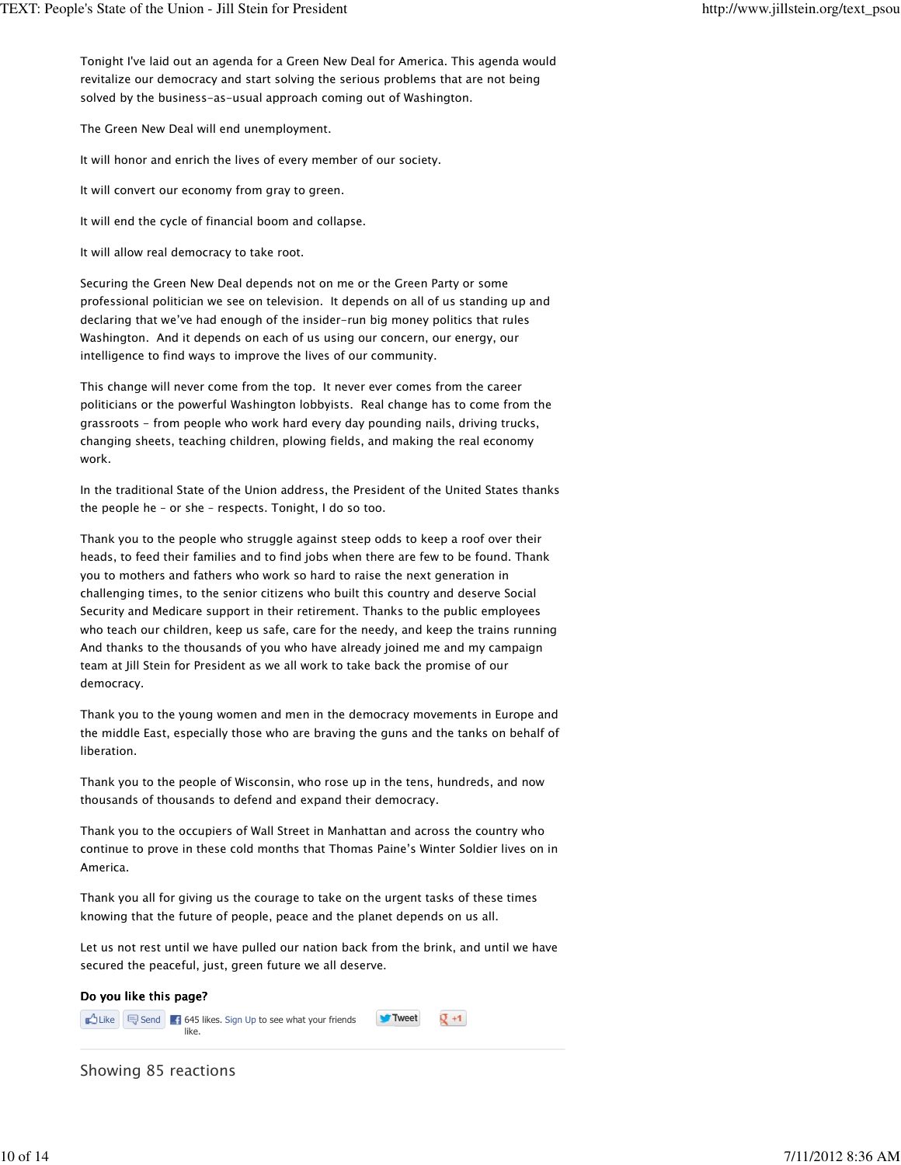Tonight I've laid out an agenda for a Green New Deal for America. This agenda would revitalize our democracy and start solving the serious problems that are not being solved by the business-as-usual approach coming out of Washington.

The Green New Deal will end unemployment.

It will honor and enrich the lives of every member of our society.

It will convert our economy from gray to green.

It will end the cycle of financial boom and collapse.

It will allow real democracy to take root.

Securing the Green New Deal depends not on me or the Green Party or some professional politician we see on television. It depends on all of us standing up and declaring that we've had enough of the insider-run big money politics that rules Washington. And it depends on each of us using our concern, our energy, our intelligence to find ways to improve the lives of our community.

This change will never come from the top. It never ever comes from the career politicians or the powerful Washington lobbyists. Real change has to come from the grassroots - from people who work hard every day pounding nails, driving trucks, changing sheets, teaching children, plowing fields, and making the real economy work.

In the traditional State of the Union address, the President of the United States thanks the people he – or she – respects. Tonight, I do so too.

Thank you to the people who struggle against steep odds to keep a roof over their heads, to feed their families and to find jobs when there are few to be found. Thank you to mothers and fathers who work so hard to raise the next generation in challenging times, to the senior citizens who built this country and deserve Social Security and Medicare support in their retirement. Thanks to the public employees who teach our children, keep us safe, care for the needy, and keep the trains running And thanks to the thousands of you who have already joined me and my campaign team at Jill Stein for President as we all work to take back the promise of our democracy.

Thank you to the young women and men in the democracy movements in Europe and the middle East, especially those who are braving the guns and the tanks on behalf of liberation.

Thank you to the people of Wisconsin, who rose up in the tens, hundreds, and now thousands of thousands to defend and expand their democracy.

Thank you to the occupiers of Wall Street in Manhattan and across the country who continue to prove in these cold months that Thomas Paine's Winter Soldier lives on in America.

Thank you all for giving us the courage to take on the urgent tasks of these times knowing that the future of people, peace and the planet depends on us all.

Let us not rest until we have pulled our nation back from the brink, and until we have secured the peaceful, just, green future we all deserve.



Showing 85 reactions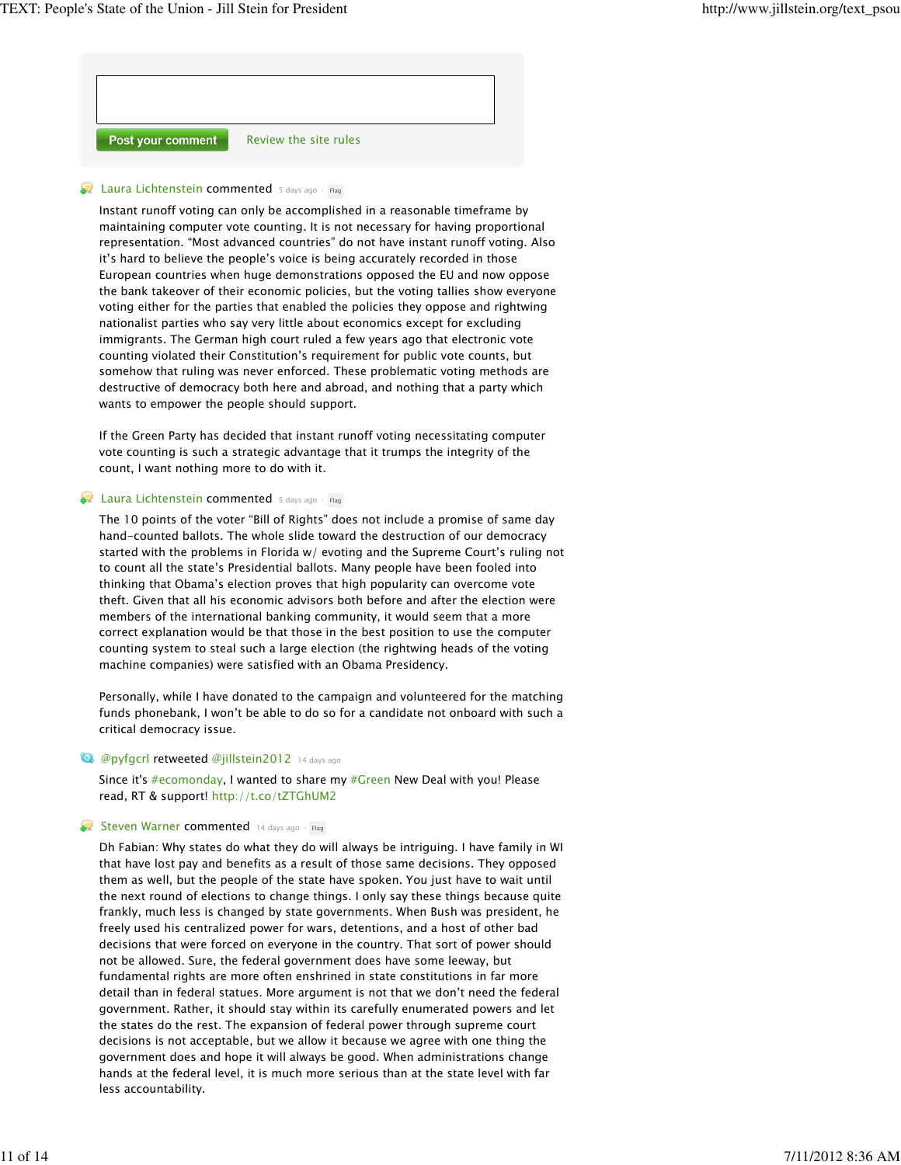

#### **Laura Lichtenstein commented** 5 days ago · Flag

Instant runoff voting can only be accomplished in a reasonable timeframe by maintaining computer vote counting. It is not necessary for having proportional representation. "Most advanced countries" do not have instant runoff voting. Also it's hard to believe the people's voice is being accurately recorded in those European countries when huge demonstrations opposed the EU and now oppose the bank takeover of their economic policies, but the voting tallies show everyone voting either for the parties that enabled the policies they oppose and rightwing nationalist parties who say very little about economics except for excluding immigrants. The German high court ruled a few years ago that electronic vote counting violated their Constitution's requirement for public vote counts, but somehow that ruling was never enforced. These problematic voting methods are destructive of democracy both here and abroad, and nothing that a party which wants to empower the people should support.

If the Green Party has decided that instant runoff voting necessitating computer vote counting is such a strategic advantage that it trumps the integrity of the count, I want nothing more to do with it.

## **Laura Lichtenstein commented** 5 days ago · Flag

The 10 points of the voter "Bill of Rights" does not include a promise of same day hand-counted ballots. The whole slide toward the destruction of our democracy started with the problems in Florida w/ evoting and the Supreme Court's ruling not to count all the state's Presidential ballots. Many people have been fooled into thinking that Obama's election proves that high popularity can overcome vote theft. Given that all his economic advisors both before and after the election were members of the international banking community, it would seem that a more correct explanation would be that those in the best position to use the computer counting system to steal such a large election (the rightwing heads of the voting machine companies) were satisfied with an Obama Presidency.

Personally, while I have donated to the campaign and volunteered for the matching funds phonebank, I won't be able to do so for a candidate not onboard with such a critical democracy issue.

#### **12 @pyfgcrl retweeted @jillstein2012** 14 days ago

Since it's #ecomonday, I wanted to share my #Green New Deal with you! Please read, RT & support! http://t.co/tZTGhUM2

#### Steven Warner commented 14 days ago · Flag

Dh Fabian: Why states do what they do will always be intriguing. I have family in WI that have lost pay and benefits as a result of those same decisions. They opposed them as well, but the people of the state have spoken. You just have to wait until the next round of elections to change things. I only say these things because quite frankly, much less is changed by state governments. When Bush was president, he freely used his centralized power for wars, detentions, and a host of other bad decisions that were forced on everyone in the country. That sort of power should not be allowed. Sure, the federal government does have some leeway, but fundamental rights are more often enshrined in state constitutions in far more detail than in federal statues. More argument is not that we don't need the federal government. Rather, it should stay within its carefully enumerated powers and let the states do the rest. The expansion of federal power through supreme court decisions is not acceptable, but we allow it because we agree with one thing the government does and hope it will always be good. When administrations change hands at the federal level, it is much more serious than at the state level with far less accountability.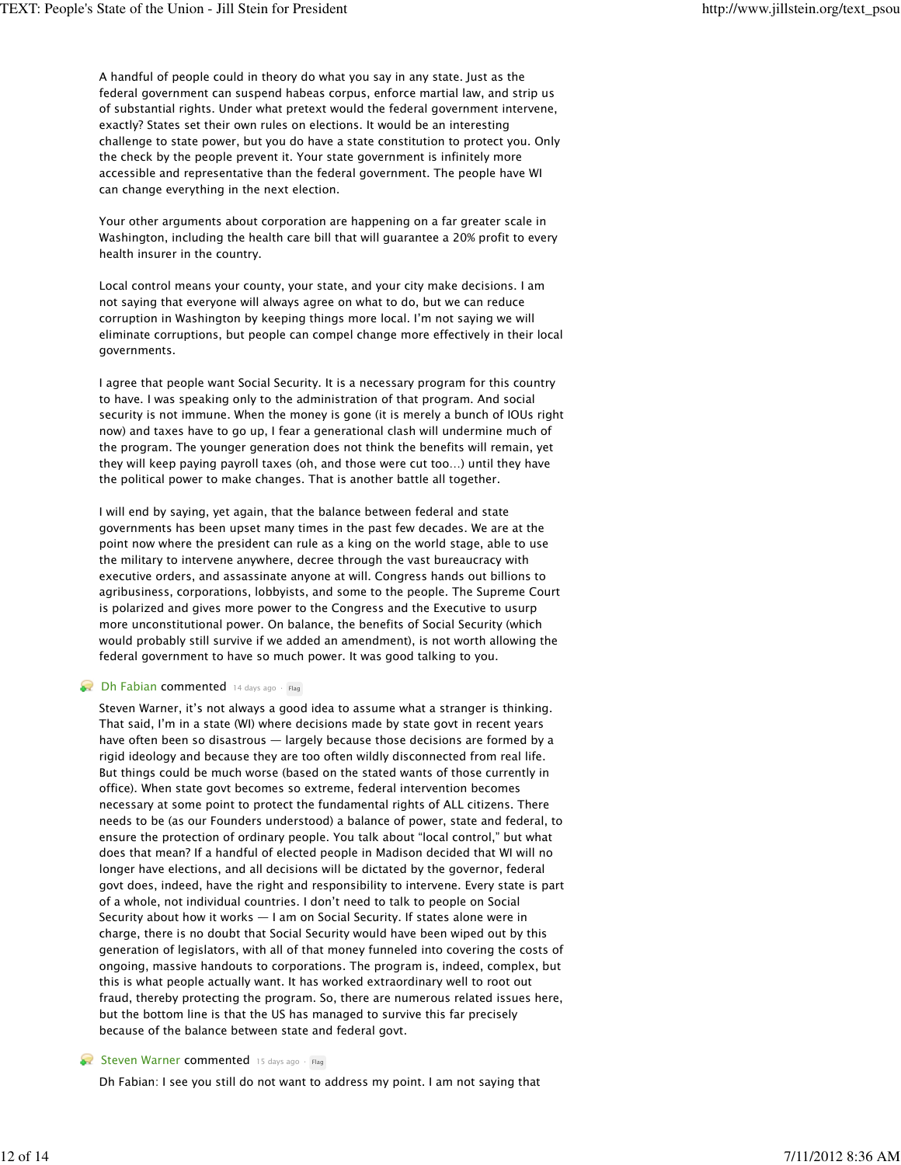A handful of people could in theory do what you say in any state. Just as the federal government can suspend habeas corpus, enforce martial law, and strip us of substantial rights. Under what pretext would the federal government intervene, exactly? States set their own rules on elections. It would be an interesting challenge to state power, but you do have a state constitution to protect you. Only the check by the people prevent it. Your state government is infinitely more accessible and representative than the federal government. The people have WI can change everything in the next election.

Your other arguments about corporation are happening on a far greater scale in Washington, including the health care bill that will guarantee a 20% profit to every health insurer in the country.

Local control means your county, your state, and your city make decisions. I am not saying that everyone will always agree on what to do, but we can reduce corruption in Washington by keeping things more local. I'm not saying we will eliminate corruptions, but people can compel change more effectively in their local governments.

I agree that people want Social Security. It is a necessary program for this country to have. I was speaking only to the administration of that program. And social security is not immune. When the money is gone (it is merely a bunch of IOUs right now) and taxes have to go up, I fear a generational clash will undermine much of the program. The younger generation does not think the benefits will remain, yet they will keep paying payroll taxes (oh, and those were cut too…) until they have the political power to make changes. That is another battle all together.

I will end by saying, yet again, that the balance between federal and state governments has been upset many times in the past few decades. We are at the point now where the president can rule as a king on the world stage, able to use the military to intervene anywhere, decree through the vast bureaucracy with executive orders, and assassinate anyone at will. Congress hands out billions to agribusiness, corporations, lobbyists, and some to the people. The Supreme Court is polarized and gives more power to the Congress and the Executive to usurp more unconstitutional power. On balance, the benefits of Social Security (which would probably still survive if we added an amendment), is not worth allowing the federal government to have so much power. It was good talking to you.

# Dh Fabian commented 14 days ago · Flag

Steven Warner, it's not always a good idea to assume what a stranger is thinking. That said, I'm in a state (WI) where decisions made by state govt in recent years have often been so disastrous — largely because those decisions are formed by a rigid ideology and because they are too often wildly disconnected from real life. But things could be much worse (based on the stated wants of those currently in office). When state govt becomes so extreme, federal intervention becomes necessary at some point to protect the fundamental rights of ALL citizens. There needs to be (as our Founders understood) a balance of power, state and federal, to ensure the protection of ordinary people. You talk about "local control," but what does that mean? If a handful of elected people in Madison decided that WI will no longer have elections, and all decisions will be dictated by the governor, federal govt does, indeed, have the right and responsibility to intervene. Every state is part of a whole, not individual countries. I don't need to talk to people on Social Security about how it works — I am on Social Security. If states alone were in charge, there is no doubt that Social Security would have been wiped out by this generation of legislators, with all of that money funneled into covering the costs of ongoing, massive handouts to corporations. The program is, indeed, complex, but this is what people actually want. It has worked extraordinary well to root out fraud, thereby protecting the program. So, there are numerous related issues here, but the bottom line is that the US has managed to survive this far precisely because of the balance between state and federal govt.

# Steven Warner commented 15 days ago · Flag

Dh Fabian: I see you still do not want to address my point. I am not saying that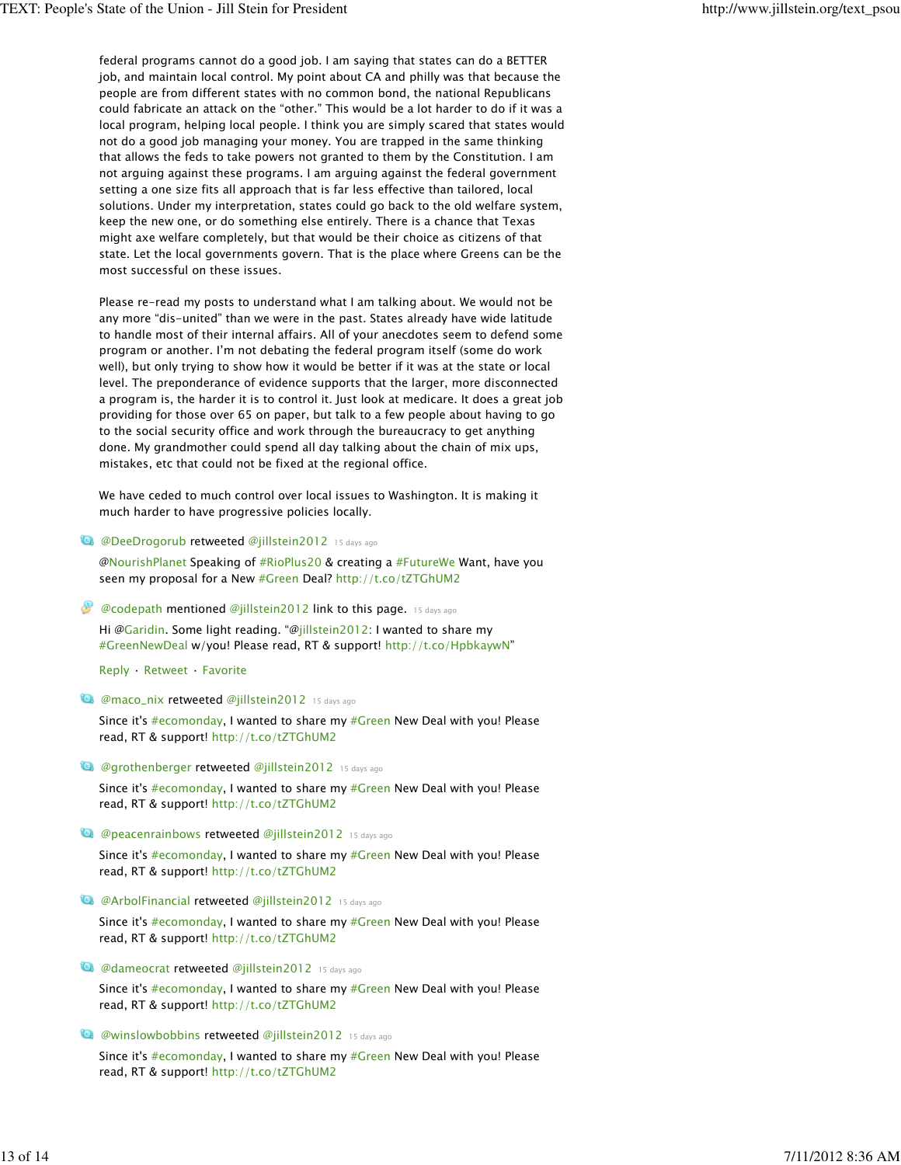federal programs cannot do a good job. I am saying that states can do a BETTER job, and maintain local control. My point about CA and philly was that because the people are from different states with no common bond, the national Republicans could fabricate an attack on the "other." This would be a lot harder to do if it was a local program, helping local people. I think you are simply scared that states would not do a good job managing your money. You are trapped in the same thinking that allows the feds to take powers not granted to them by the Constitution. I am not arguing against these programs. I am arguing against the federal government setting a one size fits all approach that is far less effective than tailored, local solutions. Under my interpretation, states could go back to the old welfare system, keep the new one, or do something else entirely. There is a chance that Texas might axe welfare completely, but that would be their choice as citizens of that state. Let the local governments govern. That is the place where Greens can be the most successful on these issues.

Please re-read my posts to understand what I am talking about. We would not be any more "dis-united" than we were in the past. States already have wide latitude to handle most of their internal affairs. All of your anecdotes seem to defend some program or another. I'm not debating the federal program itself (some do work well), but only trying to show how it would be better if it was at the state or local level. The preponderance of evidence supports that the larger, more disconnected a program is, the harder it is to control it. Just look at medicare. It does a great job providing for those over 65 on paper, but talk to a few people about having to go to the social security office and work through the bureaucracy to get anything done. My grandmother could spend all day talking about the chain of mix ups, mistakes, etc that could not be fixed at the regional office.

We have ceded to much control over local issues to Washington. It is making it much harder to have progressive policies locally.

**12 @DeeDrogorub retweeted @jillstein2012** 15 days ago

@NourishPlanet Speaking of #RioPlus20 & creating a #FutureWe Want, have you seen my proposal for a New #Green Deal? http://t.co/tZTGhUM2

 $\bullet$  @codepath mentioned @jillstein2012 link to this page. 15 days ago

Hi @Garidin. Some light reading. "@jillstein2012: I wanted to share my #GreenNewDeal w/you! Please read, RT & support! http://t.co/HpbkaywN"

Reply · Retweet · Favorite

**12 @maco\_nix retweeted @jillstein2012** 15 days ago

Since it's #ecomonday, I wanted to share my #Green New Deal with you! Please read, RT & support! http://t.co/tZTGhUM2

**12 @grothenberger retweeted @jillstein2012** 15 days ago

Since it's #ecomonday, I wanted to share my #Green New Deal with you! Please read, RT & support! http://t.co/tZTGhUM2

**13 @peacenrainbows retweeted @jillstein2012** 15 days ago

Since it's #ecomonday, I wanted to share my #Green New Deal with you! Please read, RT & support! http://t.co/tZTGhUM2

**12 @ArbolFinancial retweeted @jillstein2012** 15 days ago

Since it's  $#ecomonday$ , I wanted to share my  $#Green$  New Deal with you! Please read, RT & support! http://t.co/tZTGhUM2

**12 @dameocrat retweeted @jillstein2012** 15 days ago

Since it's #ecomonday, I wanted to share my #Green New Deal with you! Please read, RT & support! http://t.co/tZTGhUM2

#### **12 @winslowbobbins retweeted @jillstein2012** 15 days ago

Since it's #ecomonday, I wanted to share my #Green New Deal with you! Please read, RT & support! http://t.co/tZTGhUM2